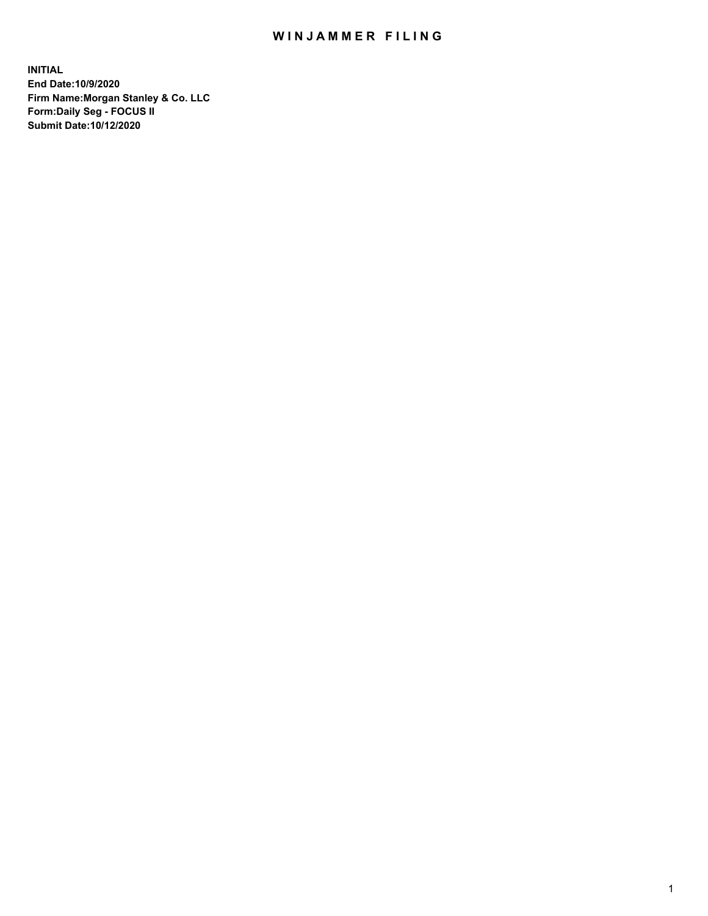## WIN JAMMER FILING

**INITIAL End Date:10/9/2020 Firm Name:Morgan Stanley & Co. LLC Form:Daily Seg - FOCUS II Submit Date:10/12/2020**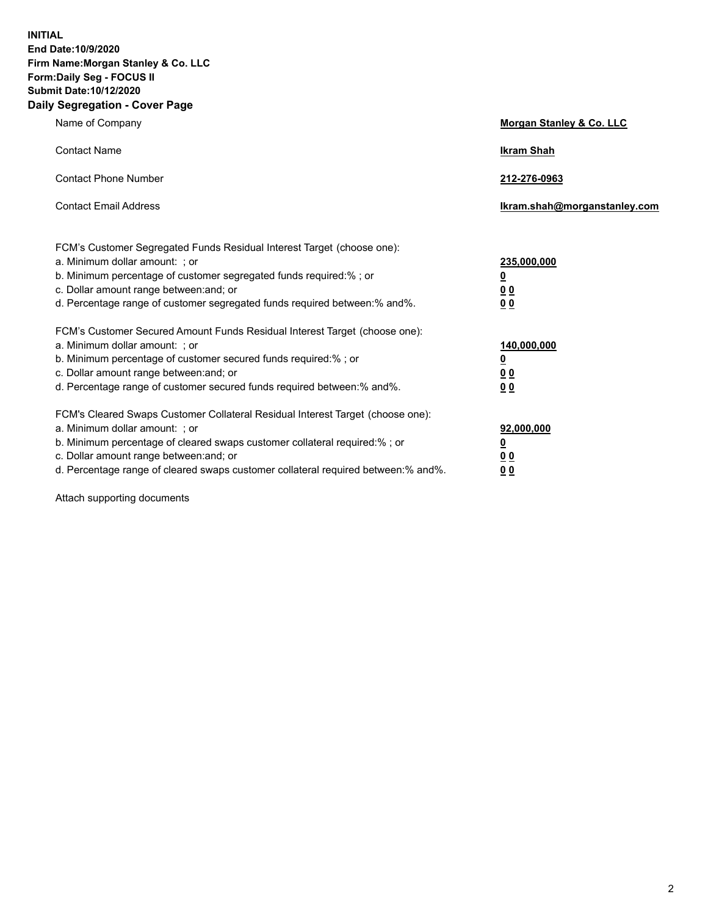**INITIAL End Date:10/9/2020 Firm Name:Morgan Stanley & Co. LLC Form:Daily Seg - FOCUS II Submit Date:10/12/2020 Daily Segregation - Cover Page**

| Name of Company                                                                                                                                                                                                                                                                                                                | Morgan Stanley & Co. LLC                               |
|--------------------------------------------------------------------------------------------------------------------------------------------------------------------------------------------------------------------------------------------------------------------------------------------------------------------------------|--------------------------------------------------------|
| <b>Contact Name</b>                                                                                                                                                                                                                                                                                                            | <b>Ikram Shah</b>                                      |
| <b>Contact Phone Number</b>                                                                                                                                                                                                                                                                                                    | 212-276-0963                                           |
| <b>Contact Email Address</b>                                                                                                                                                                                                                                                                                                   | Ikram.shah@morganstanley.com                           |
| FCM's Customer Segregated Funds Residual Interest Target (choose one):<br>a. Minimum dollar amount: ; or<br>b. Minimum percentage of customer segregated funds required:% ; or<br>c. Dollar amount range between: and; or<br>d. Percentage range of customer segregated funds required between:% and%.                         | 235,000,000<br><u>0</u><br>0 Q<br>0 Q                  |
| FCM's Customer Secured Amount Funds Residual Interest Target (choose one):<br>a. Minimum dollar amount: ; or<br>b. Minimum percentage of customer secured funds required:% ; or<br>c. Dollar amount range between: and; or<br>d. Percentage range of customer secured funds required between:% and%.                           | 140,000,000<br><u>0</u><br><u>00</u><br>0 <sub>0</sub> |
| FCM's Cleared Swaps Customer Collateral Residual Interest Target (choose one):<br>a. Minimum dollar amount: ; or<br>b. Minimum percentage of cleared swaps customer collateral required:% ; or<br>c. Dollar amount range between: and; or<br>d. Percentage range of cleared swaps customer collateral required between:% and%. | 92,000,000<br><u>0</u><br>0 Q<br>00                    |

Attach supporting documents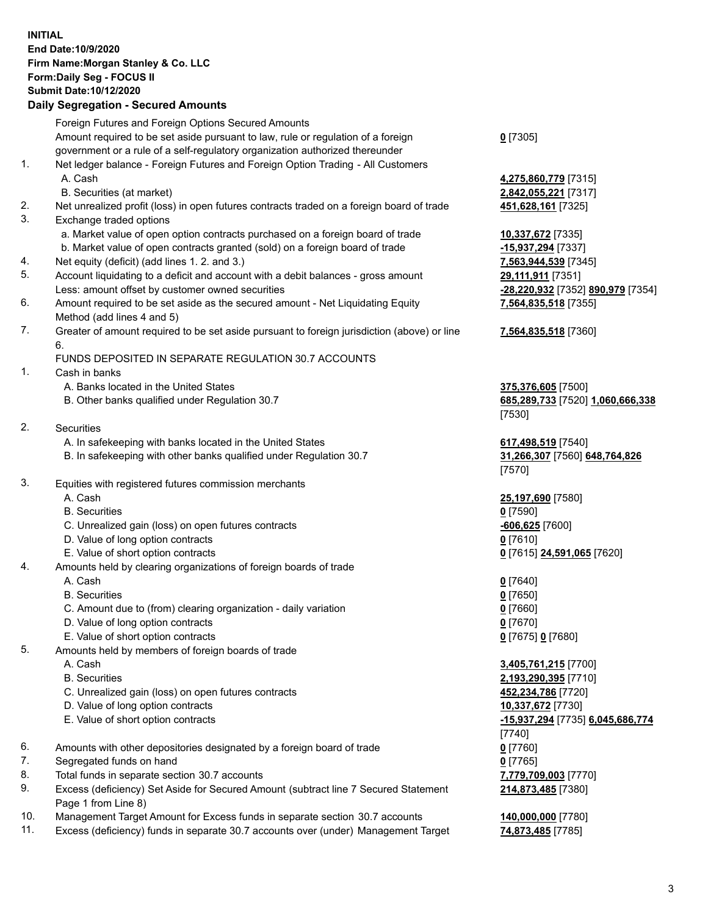## **INITIAL End Date:10/9/2020 Firm Name:Morgan Stanley & Co. LLC Form:Daily Seg - FOCUS II Submit Date:10/12/2020**

## **Daily Segregation - Secured Amounts**

Foreign Futures and Foreign Options Secured Amounts Amount required to be set aside pursuant to law, rule or regulation of a foreign government or a rule of a self-regulatory organization authorized thereunder 1. Net ledger balance - Foreign Futures and Foreign Option Trading - All Customers A. Cash **4,275,860,779** [7315] B. Securities (at market) **2,842,055,221** [7317] 2. Net unrealized profit (loss) in open futures contracts traded on a foreign board of trade **451,628,161** [7325] 3. Exchange traded options a. Market value of open option contracts purchased on a foreign board of trade **10,337,672** [7335] b. Market value of open contracts granted (sold) on a foreign board of trade **-15,937,294** [7337] 4. Net equity (deficit) (add lines 1. 2. and 3.) **7,563,944,539** [7345] 5. Account liquidating to a deficit and account with a debit balances - gross amount **29,111,911** [7351] Less: amount offset by customer owned securities **-28,220,932** [7352] **890,979** [7354] 6. Amount required to be set aside as the secured amount - Net Liquidating Equity Method (add lines 4 and 5) 7. Greater of amount required to be set aside pursuant to foreign jurisdiction (above) or line 6. FUNDS DEPOSITED IN SEPARATE REGULATION 30.7 ACCOUNTS 1. Cash in banks A. Banks located in the United States **375,376,605** [7500] B. Other banks qualified under Regulation 30.7 **685,289,733** [7520] **1,060,666,338** 2. Securities A. In safekeeping with banks located in the United States **617,498,519** [7540] B. In safekeeping with other banks qualified under Regulation 30.7 **31,266,307** [7560] **648,764,826** 3. Equities with registered futures commission merchants A. Cash **25,197,690** [7580] B. Securities **0** [7590] C. Unrealized gain (loss) on open futures contracts **-606,625** [7600] D. Value of long option contracts **0** [7610] E. Value of short option contracts **0** [7615] **24,591,065** [7620] 4. Amounts held by clearing organizations of foreign boards of trade A. Cash **0** [7640] B. Securities **0** [7650] C. Amount due to (from) clearing organization - daily variation **0** [7660] D. Value of long option contracts **0** [7670] E. Value of short option contracts **0** [7675] **0** [7680] 5. Amounts held by members of foreign boards of trade A. Cash **3,405,761,215** [7700] B. Securities **2,193,290,395** [7710] C. Unrealized gain (loss) on open futures contracts **452,234,786** [7720] D. Value of long option contracts **10,337,672** [7730] E. Value of short option contracts **-15,937,294** [7735] **6,045,686,774** 6. Amounts with other depositories designated by a foreign board of trade **0** [7760] 7. Segregated funds on hand **0** [7765] 8. Total funds in separate section 30.7 accounts **7,779,709,003** [7770] 9. Excess (deficiency) Set Aside for Secured Amount (subtract line 7 Secured Statement

- Page 1 from Line 8) 10. Management Target Amount for Excess funds in separate section 30.7 accounts **140,000,000** [7780]
- 11. Excess (deficiency) funds in separate 30.7 accounts over (under) Management Target **74,873,485** [7785]

**0** [7305]

**7,564,835,518** [7355]

## **7,564,835,518** [7360]

[7530]

[7570]

[7740] **214,873,485** [7380]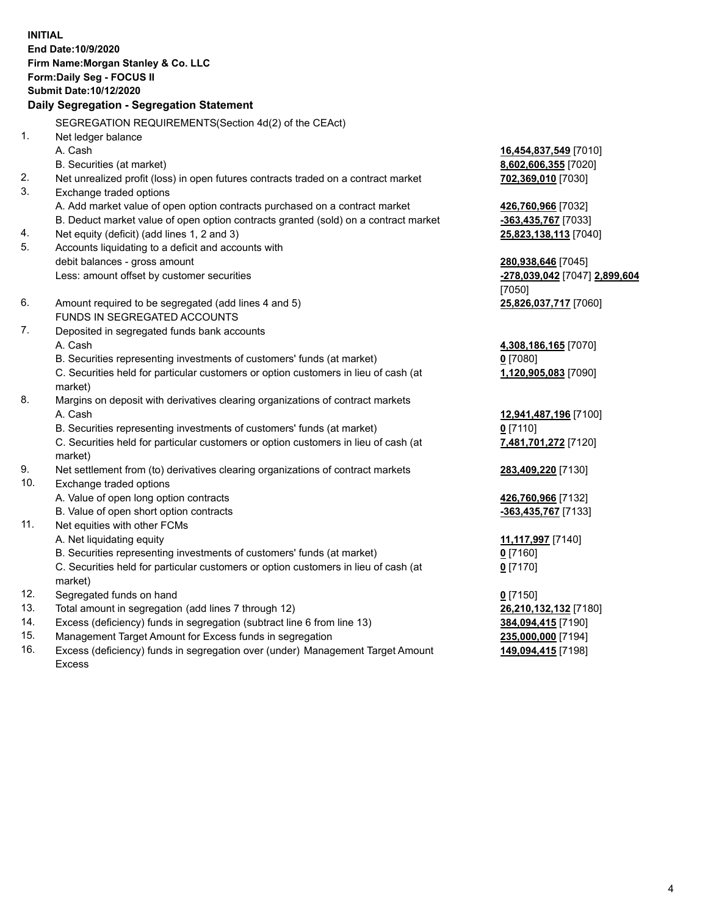**INITIAL End Date:10/9/2020 Firm Name:Morgan Stanley & Co. LLC Form:Daily Seg - FOCUS II Submit Date:10/12/2020 Daily Segregation - Segregation Statement** SEGREGATION REQUIREMENTS(Section 4d(2) of the CEAct) 1. Net ledger balance A. Cash **16,454,837,549** [7010] B. Securities (at market) **8,602,606,355** [7020] 2. Net unrealized profit (loss) in open futures contracts traded on a contract market **702,369,010** [7030] 3. Exchange traded options A. Add market value of open option contracts purchased on a contract market **426,760,966** [7032] B. Deduct market value of open option contracts granted (sold) on a contract market **-363,435,767** [7033] 4. Net equity (deficit) (add lines 1, 2 and 3) **25,823,138,113** [7040] 5. Accounts liquidating to a deficit and accounts with debit balances - gross amount **280,938,646** [7045] Less: amount offset by customer securities **-278,039,042** [7047] **2,899,604** [7050] 6. Amount required to be segregated (add lines 4 and 5) **25,826,037,717** [7060] FUNDS IN SEGREGATED ACCOUNTS 7. Deposited in segregated funds bank accounts A. Cash **4,308,186,165** [7070] B. Securities representing investments of customers' funds (at market) **0** [7080] C. Securities held for particular customers or option customers in lieu of cash (at market) **1,120,905,083** [7090] 8. Margins on deposit with derivatives clearing organizations of contract markets A. Cash **12,941,487,196** [7100] B. Securities representing investments of customers' funds (at market) **0** [7110] C. Securities held for particular customers or option customers in lieu of cash (at market) **7,481,701,272** [7120] 9. Net settlement from (to) derivatives clearing organizations of contract markets **283,409,220** [7130] 10. Exchange traded options A. Value of open long option contracts **426,760,966** [7132] B. Value of open short option contracts **and the set of our original contracts -363,435,767** [7133] 11. Net equities with other FCMs A. Net liquidating equity **11,117,997** [7140] B. Securities representing investments of customers' funds (at market) **0** [7160] C. Securities held for particular customers or option customers in lieu of cash (at market) **0** [7170] 12. Segregated funds on hand **0** [7150] 13. Total amount in segregation (add lines 7 through 12) **26,210,132,132** [7180] 14. Excess (deficiency) funds in segregation (subtract line 6 from line 13) **384,094,415** [7190] 15. Management Target Amount for Excess funds in segregation **235,000,000** [7194]

16. Excess (deficiency) funds in segregation over (under) Management Target Amount Excess

**149,094,415** [7198]